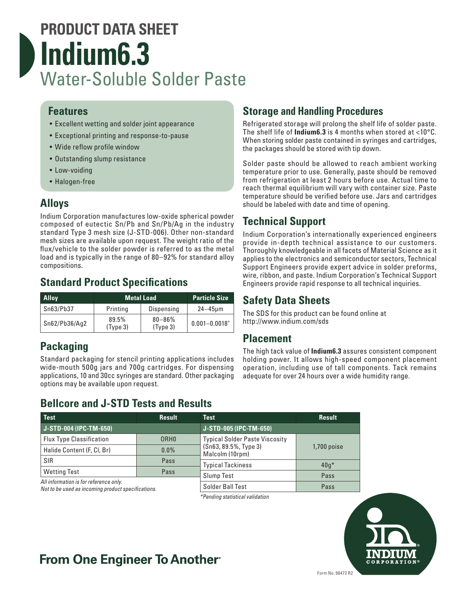# **PRODUCT DATA SHEET Indium6.3** Water-Soluble Solder Paste

#### **Features**

- Excellent wetting and solder joint appearance
- Exceptional printing and response-to-pause
- Wide reflow profile window
- Outstanding slump resistance
- Low-voiding
- Halogen-free

### **Alloys**

Indium Corporation manufactures low-oxide spherical powder composed of eutectic Sn/Pb and Sn/Pb/Ag in the industry standard Type 3 mesh size (J-STD-006). Other non-standard mesh sizes are available upon request. The weight ratio of the flux/vehicle to the solder powder is referred to as the metal load and is typically in the range of 80–92% for standard alloy compositions.

### **Standard Product Specifications**

| <b>Alloy</b>  | <b>Metal Load</b> |                         | <b>Particle Size</b> |
|---------------|-------------------|-------------------------|----------------------|
| Sn63/Pb37     | Printing          | Dispensing              | $24 - 45$ um         |
| Sn62/Pb36/Aq2 | 89.5%<br>(Type 3) | $80 - 86\%$<br>(Type 3) | $0.001 - 0.0018"$    |

### **Packaging**

Standard packaging for stencil printing applications includes wide-mouth 500g jars and 700g cartridges. For dispensing applications, 10 and 30cc syringes are standard. Other packaging options may be available upon request.

### **Bellcore and J-STD Tests and Results**

### **Storage and Handling Procedures**

Refrigerated storage will prolong the shelf life of solder paste. The shelf life of **Indium6.3** is 4 months when stored at <10°C. When storing solder paste contained in syringes and cartridges, the packages should be stored with tip down.

Solder paste should be allowed to reach ambient working temperature prior to use. Generally, paste should be removed from refrigeration at least 2 hours before use. Actual time to reach thermal equilibrium will vary with container size. Paste temperature should be verified before use. Jars and cartridges should be labeled with date and time of opening.

### **Technical Support**

Indium Corporation's internationally experienced engineers provide in-depth technical assistance to our customers. Thoroughly knowledgeable in all facets of Material Science as it applies to the electronics and semiconductor sectors, Technical Support Engineers provide expert advice in solder preforms, wire, ribbon, and paste. Indium Corporation's Technical Support Engineers provide rapid response to all technical inquiries.

#### **Safety Data Sheets**

The SDS for this product can be found online at http://www.indium.com/sds

#### **Placement**

The high tack value of **Indium6.3** assures consistent component holding power. It allows high-speed component placement operation, including use of tall components. Tack remains adequate for over 24 hours over a wide humidity range.

| Test                                                                                         | <b>Result</b>    | <b>Test</b>                              | <b>Result</b> |
|----------------------------------------------------------------------------------------------|------------------|------------------------------------------|---------------|
| J-STD-004 (IPC-TM-650)                                                                       |                  | J-STD-005 (IPC-TM-650)                   |               |
| <b>Flux Type Classification</b>                                                              | ORH <sub>0</sub> | <b>Typical Solder Paste Viscosity</b>    | 1,700 poise   |
| Halide Content (F, CI, Br)                                                                   | $0.0\%$          | (Sn63, 89.5%, Type 3)<br>Malcolm (10rpm) |               |
| <b>SIR</b>                                                                                   | Pass             | <b>Typical Tackiness</b>                 | $40q*$        |
| <b>Wetting Test</b>                                                                          | Pass             |                                          |               |
|                                                                                              |                  | <b>Slump Test</b>                        | Pass          |
| All information is for reference only.<br>Not to be used as incoming product specifications. |                  | Solder Ball Test                         | Pass          |

*\*Pending statistical validation*

CORPORATION

# **From One Engineer To Another**®